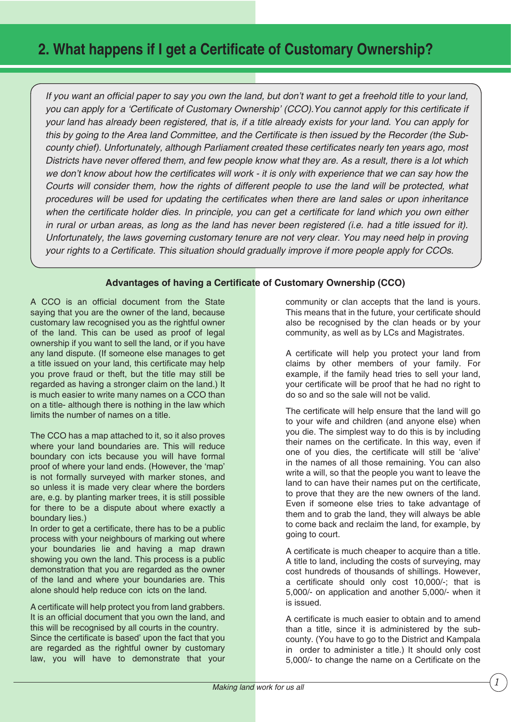## **2. What happens if I get a Certificate of Customary Ownership?**

If you want an official paper to say you own the land, but don't want to get a freehold title to your land, *you can apply for a 'Certificate of Customary Ownership' (CCO). You cannot apply for this certificate if your land has already been registered, that is, if a title already exists for your land. You can apply for*  this by going to the Area land Committee, and the Certificate is then issued by the Recorder (the Subcounty chief). Unfortunately, although Parliament created these certificates nearly ten years ago, most *Districts have never offered them, and few people know what they are. As a result, there is a lot which we don't know about how the certificates will work - it is only with experience that we can say how the Courts will consider them, how the rights of different people to use the land will be protected, what procedures will be used for updating the certificates when there are land sales or upon inheritance* when the certificate holder dies. In principle, you can get a certificate for land which you own either *in rural or urban areas, as long as the land has never been registered (i.e. had a title issued for it). Unfortunately, the laws governing customary tenure are not very clear. You may need help in proving your rights to a Certificate. This situation should gradually improve if more people apply for CCOs.* 

## **Advantages of having a Certificate of Customary Ownership (CCO)**

A CCO is an official document from the State saying that you are the owner of the land, because customary law recognised you as the rightful owner of the land. This can be used as proof of legal ownership if you want to sell the land, or if you have any land dispute. (If someone else manages to get a title issued on your land, this certificate may help you prove fraud or theft, but the title may still be regarded as having a stronger claim on the land.) It is much easier to write many names on a CCO than on a title- although there is nothing in the law which limits the number of names on a title.

The CCO has a map attached to it, so it also proves where your land boundaries are. This will reduce boundary con icts because you will have formal proof of where your land ends. (However, the 'map' is not formally surveyed with marker stones, and so unless it is made very clear where the borders are, e.g. by planting marker trees, it is still possible for there to be a dispute about where exactly a boundary lies.)

In order to get a certificate, there has to be a public process with your neighbours of marking out where your boundaries lie and having a map drawn showing you own the land. This process is a public demonstration that you are regarded as the owner of the land and where your boundaries are. This alone should help reduce con icts on the land.

A certificate will help protect you from land grabbers. It is an official document that you own the land, and this will be recognised by all courts in the country. Since the certificate is based' upon the fact that you are regarded as the rightful owner by customary law, you will have to demonstrate that your community or clan accepts that the land is yours. This means that in the future, your certificate should also be recognised by the clan heads or by your community, as well as by LCs and Magistrates.

A certificate will help you protect your land from claims by other members of your family. For example, if the family head tries to sell your land, your certificate will be proof that he had no right to do so and so the sale will not be valid.

The certificate will help ensure that the land will go to your wife and children (and anyone else) when you die. The simplest way to do this is by including their names on the certificate. In this way, even if one of you dies, the certificate will still be 'alive' in the names of all those remaining. You can also write a will, so that the people you want to leave the land to can have their names put on the certificate, to prove that they are the new owners of the land. Even if someone else tries to take advantage of them and to grab the land, they will always be able to come back and reclaim the land, for example, by going to court.

A certificate is much cheaper to acquire than a title. A title to land, including the costs of surveying, may cost hundreds of thousands of shillings. However, a certificate should only cost 10,000/-; that is 5,000/- on application and another 5,000/- when it is issued.

A certificate is much easier to obtain and to amend than a title, since it is administered by the subcounty. (You have to go to the District and Kampala in order to administer a title.) It should only cost 5,000/- to change the name on a Certificate on the